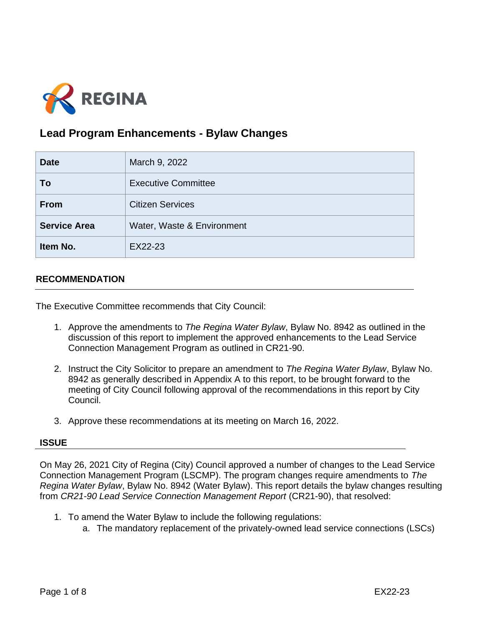

# **Lead Program Enhancements - Bylaw Changes**

| <b>Date</b>         | March 9, 2022              |
|---------------------|----------------------------|
| To                  | <b>Executive Committee</b> |
| <b>From</b>         | <b>Citizen Services</b>    |
| <b>Service Area</b> | Water, Waste & Environment |
| Item No.            | EX22-23                    |

# **RECOMMENDATION**

The Executive Committee recommends that City Council:

- 1. Approve the amendments to *The Regina Water Bylaw*, Bylaw No. 8942 as outlined in the discussion of this report to implement the approved enhancements to the Lead Service Connection Management Program as outlined in CR21-90.
- 2. Instruct the City Solicitor to prepare an amendment to *The Regina Water Bylaw*, Bylaw No. 8942 as generally described in Appendix A to this report, to be brought forward to the meeting of City Council following approval of the recommendations in this report by City Council.
- 3. Approve these recommendations at its meeting on March 16, 2022.

#### **ISSUE**

On May 26, 2021 City of Regina (City) Council approved a number of changes to the Lead Service Connection Management Program (LSCMP). The program changes require amendments to *The Regina Water Bylaw*, Bylaw No. 8942 (Water Bylaw). This report details the bylaw changes resulting from *CR21-90 Lead Service Connection Management Report* (CR21-90), that resolved:

- 1. To amend the Water Bylaw to include the following regulations:
	- a. The mandatory replacement of the privately-owned lead service connections (LSCs)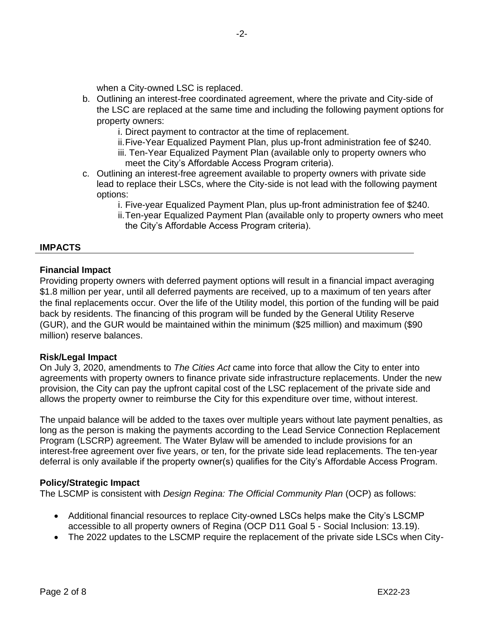when a City-owned LSC is replaced.

- b. Outlining an interest-free coordinated agreement, where the private and City-side of the LSC are replaced at the same time and including the following payment options for property owners:
	- i. Direct payment to contractor at the time of replacement.
	- ii.Five-Year Equalized Payment Plan, plus up-front administration fee of \$240.
	- iii. Ten-Year Equalized Payment Plan (available only to property owners who meet the City's Affordable Access Program criteria).
- c. Outlining an interest-free agreement available to property owners with private side lead to replace their LSCs, where the City-side is not lead with the following payment options:
	- i. Five-year Equalized Payment Plan, plus up-front administration fee of \$240.
	- ii.Ten-year Equalized Payment Plan (available only to property owners who meet the City's Affordable Access Program criteria).

# **IMPACTS**

# **Financial Impact**

Providing property owners with deferred payment options will result in a financial impact averaging \$1.8 million per year, until all deferred payments are received, up to a maximum of ten years after the final replacements occur. Over the life of the Utility model, this portion of the funding will be paid back by residents. The financing of this program will be funded by the General Utility Reserve (GUR), and the GUR would be maintained within the minimum (\$25 million) and maximum (\$90 million) reserve balances.

#### **Risk/Legal Impact**

On July 3, 2020, amendments to *The Cities Act* came into force that allow the City to enter into agreements with property owners to finance private side infrastructure replacements. Under the new provision, the City can pay the upfront capital cost of the LSC replacement of the private side and allows the property owner to reimburse the City for this expenditure over time, without interest.

The unpaid balance will be added to the taxes over multiple years without late payment penalties, as long as the person is making the payments according to the Lead Service Connection Replacement Program (LSCRP) agreement. The Water Bylaw will be amended to include provisions for an interest-free agreement over five years, or ten, for the private side lead replacements. The ten-year deferral is only available if the property owner(s) qualifies for the City's Affordable Access Program.

#### **Policy/Strategic Impact**

The LSCMP is consistent with *Design Regina: The Official Community Plan* (OCP) as follows:

- Additional financial resources to replace City-owned LSCs helps make the City's LSCMP accessible to all property owners of Regina (OCP D11 Goal 5 - Social Inclusion: 13.19).
- The 2022 updates to the LSCMP require the replacement of the private side LSCs when City-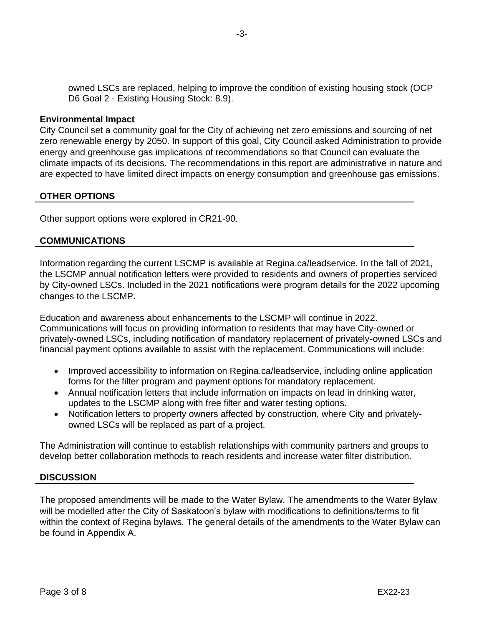owned LSCs are replaced, helping to improve the condition of existing housing stock (OCP D6 Goal 2 - Existing Housing Stock: 8.9).

#### **Environmental Impact**

City Council set a community goal for the City of achieving net zero emissions and sourcing of net zero renewable energy by 2050. In support of this goal, City Council asked Administration to provide energy and greenhouse gas implications of recommendations so that Council can evaluate the climate impacts of its decisions. The recommendations in this report are administrative in nature and are expected to have limited direct impacts on energy consumption and greenhouse gas emissions.

#### **OTHER OPTIONS**

Other support options were explored in CR21-90.

#### **COMMUNICATIONS**

Information regarding the current LSCMP is available at Regina.ca/leadservice. In the fall of 2021, the LSCMP annual notification letters were provided to residents and owners of properties serviced by City-owned LSCs. Included in the 2021 notifications were program details for the 2022 upcoming changes to the LSCMP.

Education and awareness about enhancements to the LSCMP will continue in 2022. Communications will focus on providing information to residents that may have City-owned or privately-owned LSCs, including notification of mandatory replacement of privately-owned LSCs and financial payment options available to assist with the replacement. Communications will include:

- Improved accessibility to information on Regina.ca/leadservice, including online application forms for the filter program and payment options for mandatory replacement.
- Annual notification letters that include information on impacts on lead in drinking water, updates to the LSCMP along with free filter and water testing options.
- Notification letters to property owners affected by construction, where City and privatelyowned LSCs will be replaced as part of a project.

The Administration will continue to establish relationships with community partners and groups to develop better collaboration methods to reach residents and increase water filter distribution.

#### **DISCUSSION**

The proposed amendments will be made to the Water Bylaw. The amendments to the Water Bylaw will be modelled after the City of Saskatoon's bylaw with modifications to definitions/terms to fit within the context of Regina bylaws. The general details of the amendments to the Water Bylaw can be found in Appendix A.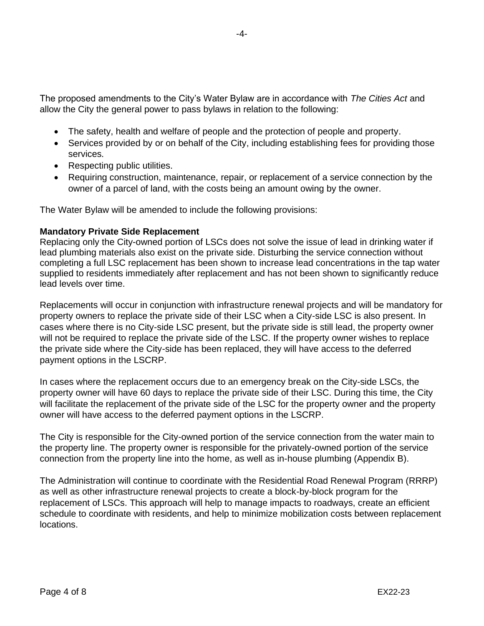The proposed amendments to the City's Water Bylaw are in accordance with *The Cities Act* and allow the City the general power to pass bylaws in relation to the following:

- The safety, health and welfare of people and the protection of people and property.
- Services provided by or on behalf of the City, including establishing fees for providing those services.
- Respecting public utilities.
- Requiring construction, maintenance, repair, or replacement of a service connection by the owner of a parcel of land, with the costs being an amount owing by the owner.

The Water Bylaw will be amended to include the following provisions:

# **Mandatory Private Side Replacement**

Replacing only the City-owned portion of LSCs does not solve the issue of lead in drinking water if lead plumbing materials also exist on the private side. Disturbing the service connection without completing a full LSC replacement has been shown to increase lead concentrations in the tap water supplied to residents immediately after replacement and has not been shown to significantly reduce lead levels over time.

Replacements will occur in conjunction with infrastructure renewal projects and will be mandatory for property owners to replace the private side of their LSC when a City-side LSC is also present. In cases where there is no City-side LSC present, but the private side is still lead, the property owner will not be required to replace the private side of the LSC. If the property owner wishes to replace the private side where the City-side has been replaced, they will have access to the deferred payment options in the LSCRP.

In cases where the replacement occurs due to an emergency break on the City-side LSCs, the property owner will have 60 days to replace the private side of their LSC. During this time, the City will facilitate the replacement of the private side of the LSC for the property owner and the property owner will have access to the deferred payment options in the LSCRP.

The City is responsible for the City-owned portion of the service connection from the water main to the property line. The property owner is responsible for the privately-owned portion of the service connection from the property line into the home, as well as in-house plumbing (Appendix B).

The Administration will continue to coordinate with the Residential Road Renewal Program (RRRP) as well as other infrastructure renewal projects to create a block-by-block program for the replacement of LSCs. This approach will help to manage impacts to roadways, create an efficient schedule to coordinate with residents, and help to minimize mobilization costs between replacement locations.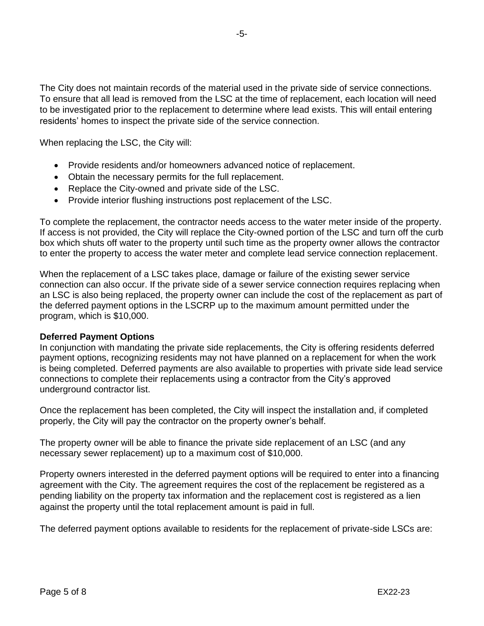The City does not maintain records of the material used in the private side of service connections. To ensure that all lead is removed from the LSC at the time of replacement, each location will need to be investigated prior to the replacement to determine where lead exists. This will entail entering residents' homes to inspect the private side of the service connection.

When replacing the LSC, the City will:

- Provide residents and/or homeowners advanced notice of replacement.
- Obtain the necessary permits for the full replacement.
- Replace the City-owned and private side of the LSC.
- Provide interior flushing instructions post replacement of the LSC.

To complete the replacement, the contractor needs access to the water meter inside of the property. If access is not provided, the City will replace the City-owned portion of the LSC and turn off the curb box which shuts off water to the property until such time as the property owner allows the contractor to enter the property to access the water meter and complete lead service connection replacement.

When the replacement of a LSC takes place, damage or failure of the existing sewer service connection can also occur. If the private side of a sewer service connection requires replacing when an LSC is also being replaced, the property owner can include the cost of the replacement as part of the deferred payment options in the LSCRP up to the maximum amount permitted under the program, which is \$10,000.

#### **Deferred Payment Options**

In conjunction with mandating the private side replacements, the City is offering residents deferred payment options, recognizing residents may not have planned on a replacement for when the work is being completed. Deferred payments are also available to properties with private side lead service connections to complete their replacements using a contractor from the City's approved underground contractor list.

Once the replacement has been completed, the City will inspect the installation and, if completed properly, the City will pay the contractor on the property owner's behalf.

The property owner will be able to finance the private side replacement of an LSC (and any necessary sewer replacement) up to a maximum cost of \$10,000.

Property owners interested in the deferred payment options will be required to enter into a financing agreement with the City. The agreement requires the cost of the replacement be registered as a pending liability on the property tax information and the replacement cost is registered as a lien against the property until the total replacement amount is paid in full.

The deferred payment options available to residents for the replacement of private-side LSCs are: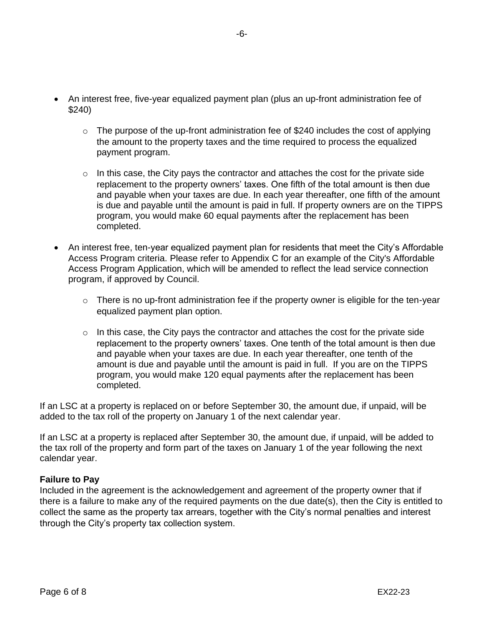- An interest free, five-year equalized payment plan (plus an up-front administration fee of \$240)
	- $\circ$  The purpose of the up-front administration fee of \$240 includes the cost of applying the amount to the property taxes and the time required to process the equalized payment program.
	- $\circ$  In this case, the City pays the contractor and attaches the cost for the private side replacement to the property owners' taxes. One fifth of the total amount is then due and payable when your taxes are due. In each year thereafter, one fifth of the amount is due and payable until the amount is paid in full. If property owners are on the TIPPS program, you would make 60 equal payments after the replacement has been completed.
- An interest free, ten-year equalized payment plan for residents that meet the City's Affordable Access Program criteria. Please refer to Appendix C for an example of the City's Affordable Access Program Application, which will be amended to reflect the lead service connection program, if approved by Council.
	- o There is no up-front administration fee if the property owner is eligible for the ten-year equalized payment plan option.
	- $\circ$  In this case, the City pays the contractor and attaches the cost for the private side replacement to the property owners' taxes. One tenth of the total amount is then due and payable when your taxes are due. In each year thereafter, one tenth of the amount is due and payable until the amount is paid in full. If you are on the TIPPS program, you would make 120 equal payments after the replacement has been completed.

If an LSC at a property is replaced on or before September 30, the amount due, if unpaid, will be added to the tax roll of the property on January 1 of the next calendar year.

If an LSC at a property is replaced after September 30, the amount due, if unpaid, will be added to the tax roll of the property and form part of the taxes on January 1 of the year following the next calendar year.

# **Failure to Pay**

Included in the agreement is the acknowledgement and agreement of the property owner that if there is a failure to make any of the required payments on the due date(s), then the City is entitled to collect the same as the property tax arrears, together with the City's normal penalties and interest through the City's property tax collection system.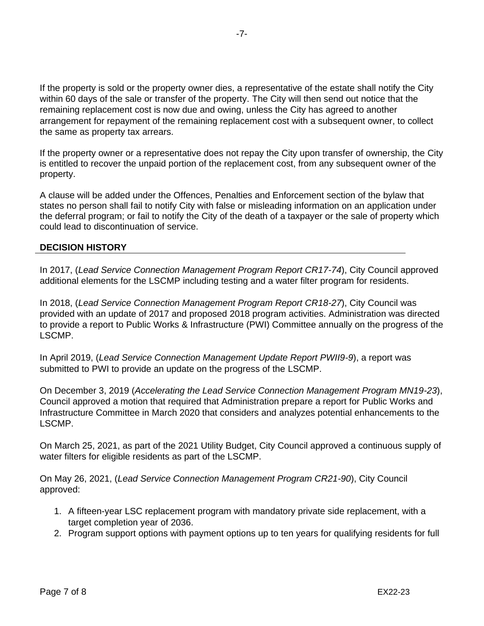If the property is sold or the property owner dies, a representative of the estate shall notify the City within 60 days of the sale or transfer of the property. The City will then send out notice that the remaining replacement cost is now due and owing, unless the City has agreed to another arrangement for repayment of the remaining replacement cost with a subsequent owner, to collect the same as property tax arrears.

If the property owner or a representative does not repay the City upon transfer of ownership, the City is entitled to recover the unpaid portion of the replacement cost, from any subsequent owner of the property.

A clause will be added under the Offences, Penalties and Enforcement section of the bylaw that states no person shall fail to notify City with false or misleading information on an application under the deferral program; or fail to notify the City of the death of a taxpayer or the sale of property which could lead to discontinuation of service.

# **DECISION HISTORY**

In 2017, (*Lead Service Connection Management Program Report CR17-74*), City Council approved additional elements for the LSCMP including testing and a water filter program for residents.

In 2018, (*Lead Service Connection Management Program Report CR18-27*), City Council was provided with an update of 2017 and proposed 2018 program activities. Administration was directed to provide a report to Public Works & Infrastructure (PWI) Committee annually on the progress of the LSCMP.

In April 2019, (*Lead Service Connection Management Update Report PWII9-9*), a report was submitted to PWI to provide an update on the progress of the LSCMP.

On December 3, 2019 (*Accelerating the Lead Service Connection Management Program MN19-23*), Council approved a motion that required that Administration prepare a report for Public Works and Infrastructure Committee in March 2020 that considers and analyzes potential enhancements to the LSCMP.

On March 25, 2021, as part of the 2021 Utility Budget, City Council approved a continuous supply of water filters for eligible residents as part of the LSCMP.

On May 26, 2021, (*Lead Service Connection Management Program CR21-90*), City Council approved:

- 1. A fifteen-year LSC replacement program with mandatory private side replacement, with a target completion year of 2036.
- 2. Program support options with payment options up to ten years for qualifying residents for full